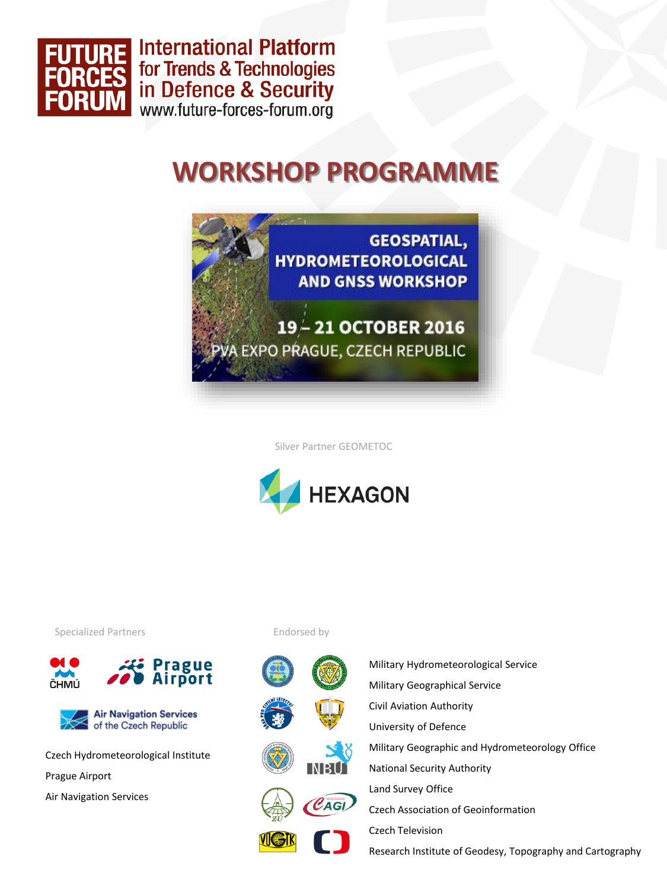

**International Platform** for Trends & Technologies in Defence & Security<br>www.future-forces-forum.org

## **WORKSHOP PROGRAMME**



Silver Partner GEOMETOC



Specialized Partners





Czech Hydrometeorological Institute Prague Airport Air Navigation Services

Endorsed by



Military Hydrometeorological Service Military Geographical Service Civil Aviation Authority University of Defence Military Geographic and Hydrometeorology Office National Security Authority Land Survey Office Czech Association of Geoinformation Czech Television

Research Institute of Geodesy, Topography and Cartography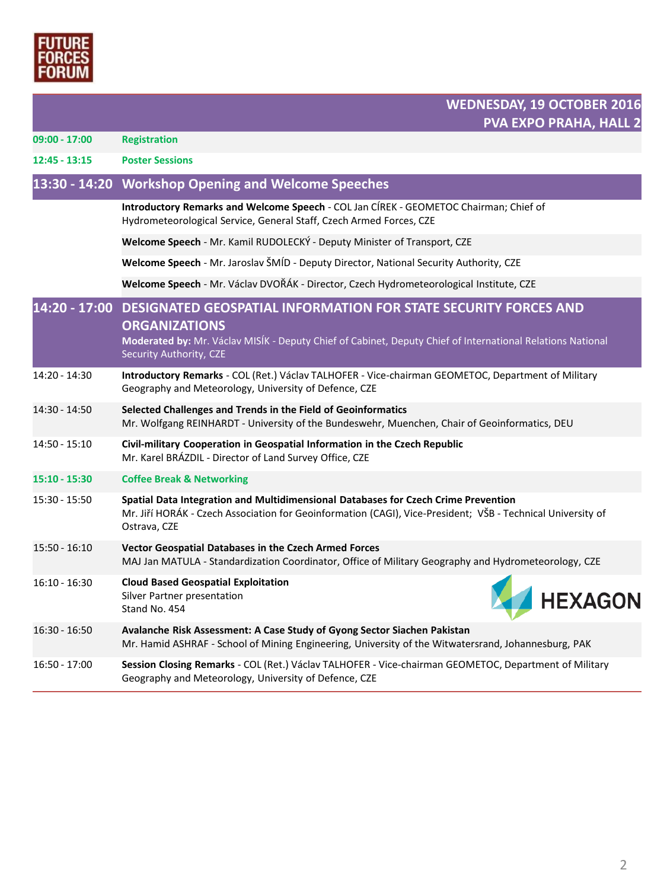

| $09:00 - 17:00$ | <b>Registration</b>                                                                                                                                                                                                                            |
|-----------------|------------------------------------------------------------------------------------------------------------------------------------------------------------------------------------------------------------------------------------------------|
| $12:45 - 13:15$ | <b>Poster Sessions</b>                                                                                                                                                                                                                         |
|                 | 13:30 - 14:20 Workshop Opening and Welcome Speeches                                                                                                                                                                                            |
|                 | Introductory Remarks and Welcome Speech - COL Jan CÍREK - GEOMETOC Chairman; Chief of<br>Hydrometeorological Service, General Staff, Czech Armed Forces, CZE                                                                                   |
|                 | Welcome Speech - Mr. Kamil RUDOLECKÝ - Deputy Minister of Transport, CZE                                                                                                                                                                       |
|                 | Welcome Speech - Mr. Jaroslav ŠMÍD - Deputy Director, National Security Authority, CZE                                                                                                                                                         |
|                 | Welcome Speech - Mr. Václav DVOŘÁK - Director, Czech Hydrometeorological Institute, CZE                                                                                                                                                        |
|                 | 14:20 - 17:00 DESIGNATED GEOSPATIAL INFORMATION FOR STATE SECURITY FORCES AND<br><b>ORGANIZATIONS</b><br>Moderated by: Mr. Václav MISÍK - Deputy Chief of Cabinet, Deputy Chief of International Relations National<br>Security Authority, CZE |
| 14:20 - 14:30   | Introductory Remarks - COL (Ret.) Václav TALHOFER - Vice-chairman GEOMETOC, Department of Military<br>Geography and Meteorology, University of Defence, CZE                                                                                    |
| 14:30 - 14:50   | Selected Challenges and Trends in the Field of Geoinformatics<br>Mr. Wolfgang REINHARDT - University of the Bundeswehr, Muenchen, Chair of Geoinformatics, DEU                                                                                 |
| 14:50 - 15:10   | Civil-military Cooperation in Geospatial Information in the Czech Republic<br>Mr. Karel BRÁZDIL - Director of Land Survey Office, CZE                                                                                                          |
| 15:10 - 15:30   | <b>Coffee Break &amp; Networking</b>                                                                                                                                                                                                           |
| 15:30 - 15:50   | Spatial Data Integration and Multidimensional Databases for Czech Crime Prevention<br>Mr. Jiří HORÁK - Czech Association for Geoinformation (CAGI), Vice-President; VŠB - Technical University of<br>Ostrava, CZE                              |
| $15:50 - 16:10$ | Vector Geospatial Databases in the Czech Armed Forces<br>MAJ Jan MATULA - Standardization Coordinator, Office of Military Geography and Hydrometeorology, CZE                                                                                  |
| $16:10 - 16:30$ | <b>Cloud Based Geospatial Exploitation</b><br><b>HEXAGON</b><br>Silver Partner presentation<br>Stand No. 454                                                                                                                                   |
| $16:30 - 16:50$ | Avalanche Risk Assessment: A Case Study of Gyong Sector Siachen Pakistan<br>Mr. Hamid ASHRAF - School of Mining Engineering, University of the Witwatersrand, Johannesburg, PAK                                                                |
| 16:50 - 17:00   | Session Closing Remarks - COL (Ret.) Václav TALHOFER - Vice-chairman GEOMETOC, Department of Military<br>Geography and Meteorology, University of Defence, CZE                                                                                 |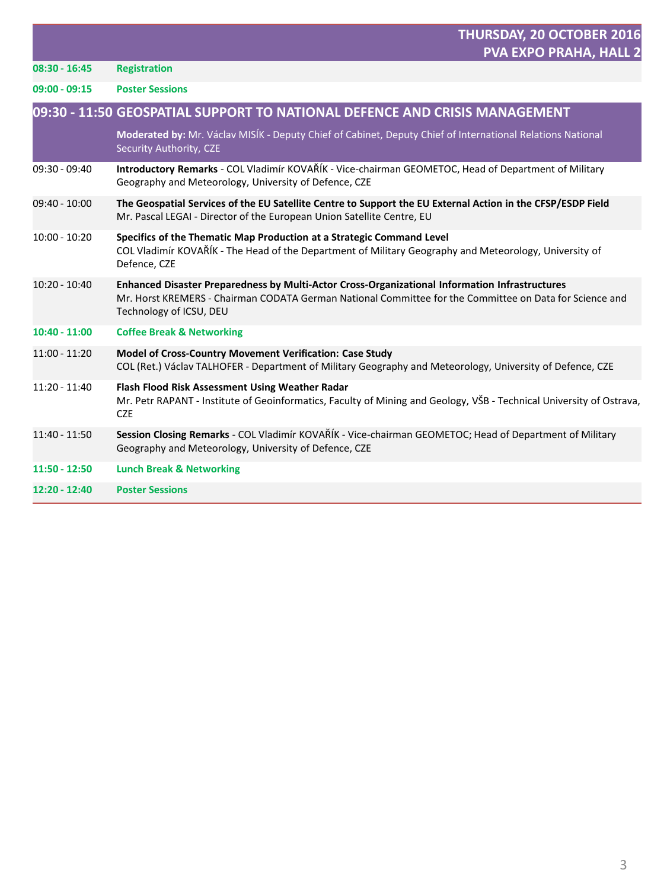|                 | THURSDAY, 20 OCTOBER 2016<br><b>PVA EXPO PRAHA, HALL 2</b>                                                                                                                                                                           |
|-----------------|--------------------------------------------------------------------------------------------------------------------------------------------------------------------------------------------------------------------------------------|
| $08:30 - 16:45$ | <b>Registration</b>                                                                                                                                                                                                                  |
| $09:00 - 09:15$ | <b>Poster Sessions</b>                                                                                                                                                                                                               |
|                 | 09:30 - 11:50 GEOSPATIAL SUPPORT TO NATIONAL DEFENCE AND CRISIS MANAGEMENT                                                                                                                                                           |
|                 | Moderated by: Mr. Václav MISÍK - Deputy Chief of Cabinet, Deputy Chief of International Relations National<br>Security Authority, CZE                                                                                                |
| $09:30 - 09:40$ | Introductory Remarks - COL Vladimír KOVAŘÍK - Vice-chairman GEOMETOC, Head of Department of Military<br>Geography and Meteorology, University of Defence, CZE                                                                        |
| $09:40 - 10:00$ | The Geospatial Services of the EU Satellite Centre to Support the EU External Action in the CFSP/ESDP Field<br>Mr. Pascal LEGAI - Director of the European Union Satellite Centre, EU                                                |
| $10:00 - 10:20$ | Specifics of the Thematic Map Production at a Strategic Command Level<br>COL Vladimír KOVAŘÍK - The Head of the Department of Military Geography and Meteorology, University of<br>Defence, CZE                                      |
| $10:20 - 10:40$ | Enhanced Disaster Preparedness by Multi-Actor Cross-Organizational Information Infrastructures<br>Mr. Horst KREMERS - Chairman CODATA German National Committee for the Committee on Data for Science and<br>Technology of ICSU, DEU |
| $10:40 - 11:00$ | <b>Coffee Break &amp; Networking</b>                                                                                                                                                                                                 |
| $11:00 - 11:20$ | Model of Cross-Country Movement Verification: Case Study<br>COL (Ret.) Václav TALHOFER - Department of Military Geography and Meteorology, University of Defence, CZE                                                                |
| $11:20 - 11:40$ | Flash Flood Risk Assessment Using Weather Radar<br>Mr. Petr RAPANT - Institute of Geoinformatics, Faculty of Mining and Geology, VŠB - Technical University of Ostrava,<br><b>CZE</b>                                                |
| 11:40 - 11:50   | Session Closing Remarks - COL Vladimír KOVAŘÍK - Vice-chairman GEOMETOC; Head of Department of Military<br>Geography and Meteorology, University of Defence, CZE                                                                     |
| $11:50 - 12:50$ | <b>Lunch Break &amp; Networking</b>                                                                                                                                                                                                  |
| 12:20 - 12:40   | <b>Poster Sessions</b>                                                                                                                                                                                                               |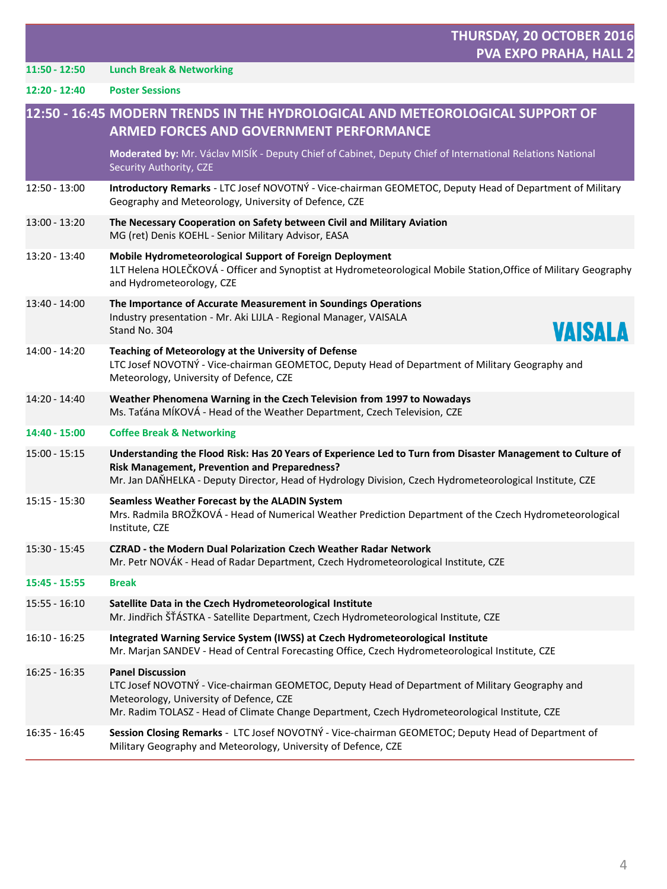|                 | THURSDAY, 20 OCTOBER 2016<br><b>PVA EXPO PRAHA, HALL 2</b>                                                                                                                                                                                                               |
|-----------------|--------------------------------------------------------------------------------------------------------------------------------------------------------------------------------------------------------------------------------------------------------------------------|
| $11:50 - 12:50$ | <b>Lunch Break &amp; Networking</b>                                                                                                                                                                                                                                      |
| $12:20 - 12:40$ | <b>Poster Sessions</b>                                                                                                                                                                                                                                                   |
|                 | 12:50 - 16:45 MODERN TRENDS IN THE HYDROLOGICAL AND METEOROLOGICAL SUPPORT OF<br><b>ARMED FORCES AND GOVERNMENT PERFORMANCE</b>                                                                                                                                          |
|                 | Moderated by: Mr. Václav MISÍK - Deputy Chief of Cabinet, Deputy Chief of International Relations National<br>Security Authority, CZE                                                                                                                                    |
| 12:50 - 13:00   | Introductory Remarks - LTC Josef NOVOTNÝ - Vice-chairman GEOMETOC, Deputy Head of Department of Military<br>Geography and Meteorology, University of Defence, CZE                                                                                                        |
| 13:00 - 13:20   | The Necessary Cooperation on Safety between Civil and Military Aviation<br>MG (ret) Denis KOEHL - Senior Military Advisor, EASA                                                                                                                                          |
| 13:20 - 13:40   | Mobile Hydrometeorological Support of Foreign Deployment<br>1LT Helena HOLEČKOVÁ - Officer and Synoptist at Hydrometeorological Mobile Station, Office of Military Geography<br>and Hydrometeorology, CZE                                                                |
| 13:40 - 14:00   | The Importance of Accurate Measurement in Soundings Operations<br>Industry presentation - Mr. Aki LIJLA - Regional Manager, VAISALA<br>VAISALA<br>Stand No. 304                                                                                                          |
| 14:00 - 14:20   | Teaching of Meteorology at the University of Defense<br>LTC Josef NOVOTNÝ - Vice-chairman GEOMETOC, Deputy Head of Department of Military Geography and<br>Meteorology, University of Defence, CZE                                                                       |
| 14:20 - 14:40   | Weather Phenomena Warning in the Czech Television from 1997 to Nowadays<br>Ms. Taťána MÍKOVÁ - Head of the Weather Department, Czech Television, CZE                                                                                                                     |
| 14:40 - 15:00   | <b>Coffee Break &amp; Networking</b>                                                                                                                                                                                                                                     |
| 15:00 - 15:15   | Understanding the Flood Risk: Has 20 Years of Experience Led to Turn from Disaster Management to Culture of<br>Risk Management, Prevention and Preparedness?<br>Mr. Jan DANHELKA - Deputy Director, Head of Hydrology Division, Czech Hydrometeorological Institute, CZE |
| 15:15 - 15:30   | Seamless Weather Forecast by the ALADIN System<br>Mrs. Radmila BROŽKOVÁ - Head of Numerical Weather Prediction Department of the Czech Hydrometeorological<br>Institute, CZE                                                                                             |
| 15:30 - 15:45   | <b>CZRAD - the Modern Dual Polarization Czech Weather Radar Network</b><br>Mr. Petr NOVÁK - Head of Radar Department, Czech Hydrometeorological Institute, CZE                                                                                                           |
| 15:45 - 15:55   | Break                                                                                                                                                                                                                                                                    |
| 15:55 - 16:10   | Satellite Data in the Czech Hydrometeorological Institute<br>Mr. Jindřich ŠŤÁSTKA - Satellite Department, Czech Hydrometeorological Institute, CZE                                                                                                                       |
| $16:10 - 16:25$ | Integrated Warning Service System (IWSS) at Czech Hydrometeorological Institute<br>Mr. Marjan SANDEV - Head of Central Forecasting Office, Czech Hydrometeorological Institute, CZE                                                                                      |
| $16:25 - 16:35$ | <b>Panel Discussion</b><br>LTC Josef NOVOTNÝ - Vice-chairman GEOMETOC, Deputy Head of Department of Military Geography and<br>Meteorology, University of Defence, CZE<br>Mr. Radim TOLASZ - Head of Climate Change Department, Czech Hydrometeorological Institute, CZE  |
| $16:35 - 16:45$ | Session Closing Remarks - LTC Josef NOVOTNÝ - Vice-chairman GEOMETOC; Deputy Head of Department of<br>Military Geography and Meteorology, University of Defence, CZE                                                                                                     |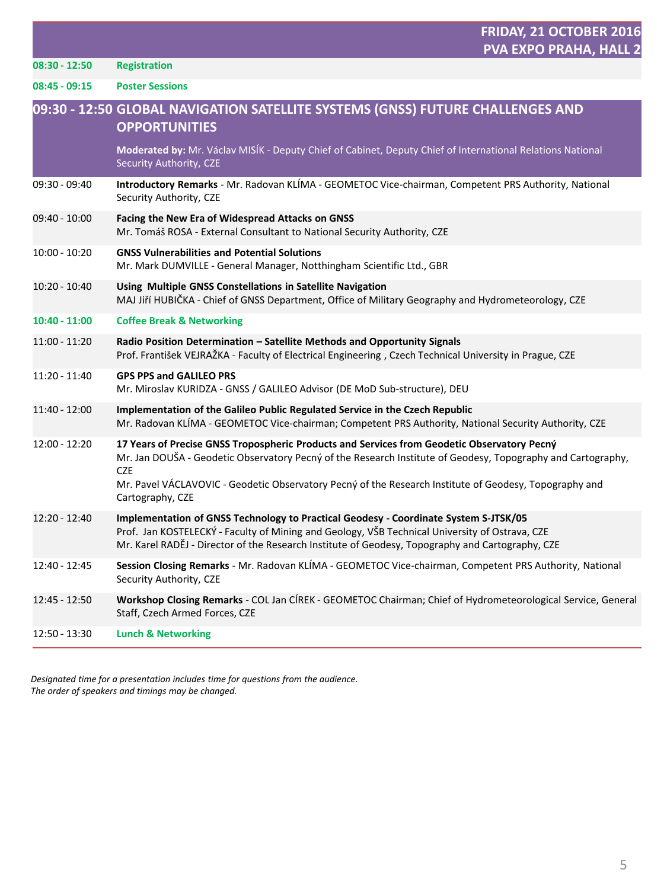**08:45 - 09:15 Poster Sessions**

| Moderated by: Mr. Václav MISÍK - Deputy Chief of Cabinet, Deputy Chief of International Relations National<br>Security Authority, CZE<br>Introductory Remarks - Mr. Radovan KLÍMA - GEOMETOC Vice-chairman, Competent PRS Authority, National<br>Security Authority, CZE<br>Facing the New Era of Widespread Attacks on GNSS<br>Mr. Tomáš ROSA - External Consultant to National Security Authority, CZE<br><b>GNSS Vulnerabilities and Potential Solutions</b><br>Mr. Mark DUMVILLE - General Manager, Notthingham Scientific Ltd., GBR<br>Using Multiple GNSS Constellations in Satellite Navigation<br>MAJ Jiří HUBIČKA - Chief of GNSS Department, Office of Military Geography and Hydrometeorology, CZE<br><b>Coffee Break &amp; Networking</b><br>Radio Position Determination - Satellite Methods and Opportunity Signals<br>Prof. František VEJRAŽKA - Faculty of Electrical Engineering, Czech Technical University in Prague, CZE<br><b>GPS PPS and GALILEO PRS</b><br>Mr. Miroslav KURIDZA - GNSS / GALILEO Advisor (DE MoD Sub-structure), DEU<br>Implementation of the Galileo Public Regulated Service in the Czech Republic<br>Mr. Radovan KLÍMA - GEOMETOC Vice-chairman; Competent PRS Authority, National Security Authority, CZE<br>17 Years of Precise GNSS Tropospheric Products and Services from Geodetic Observatory Pecný<br>Mr. Jan DOUŠA - Geodetic Observatory Pecný of the Research Institute of Geodesy, Topography and Cartography,<br><b>CZE</b><br>Mr. Pavel VÁCLAVOVIC - Geodetic Observatory Pecný of the Research Institute of Geodesy, Topography and<br>Cartography, CZE<br>Implementation of GNSS Technology to Practical Geodesy - Coordinate System S-JTSK/05<br>Prof. Jan KOSTELECKÝ - Faculty of Mining and Geology, VŠB Technical University of Ostrava, CZE<br>Mr. Karel RADĚJ - Director of the Research Institute of Geodesy, Topography and Cartography, CZE<br>Session Closing Remarks - Mr. Radovan KLÍMA - GEOMETOC Vice-chairman, Competent PRS Authority, National<br>Security Authority, CZE<br>Workshop Closing Remarks - COL Jan CÍREK - GEOMETOC Chairman; Chief of Hydrometeorological Service, General<br>Staff, Czech Armed Forces, CZE<br><b>Lunch &amp; Networking</b> |                 | 09:30 - 12:50 GLOBAL NAVIGATION SATELLITE SYSTEMS (GNSS) FUTURE CHALLENGES AND<br><b>OPPORTUNITIES</b> |
|---------------------------------------------------------------------------------------------------------------------------------------------------------------------------------------------------------------------------------------------------------------------------------------------------------------------------------------------------------------------------------------------------------------------------------------------------------------------------------------------------------------------------------------------------------------------------------------------------------------------------------------------------------------------------------------------------------------------------------------------------------------------------------------------------------------------------------------------------------------------------------------------------------------------------------------------------------------------------------------------------------------------------------------------------------------------------------------------------------------------------------------------------------------------------------------------------------------------------------------------------------------------------------------------------------------------------------------------------------------------------------------------------------------------------------------------------------------------------------------------------------------------------------------------------------------------------------------------------------------------------------------------------------------------------------------------------------------------------------------------------------------------------------------------------------------------------------------------------------------------------------------------------------------------------------------------------------------------------------------------------------------------------------------------------------------------------------------------------------------------------------------------------------------------------------------------------------------------------------------|-----------------|--------------------------------------------------------------------------------------------------------|
|                                                                                                                                                                                                                                                                                                                                                                                                                                                                                                                                                                                                                                                                                                                                                                                                                                                                                                                                                                                                                                                                                                                                                                                                                                                                                                                                                                                                                                                                                                                                                                                                                                                                                                                                                                                                                                                                                                                                                                                                                                                                                                                                                                                                                                       |                 |                                                                                                        |
|                                                                                                                                                                                                                                                                                                                                                                                                                                                                                                                                                                                                                                                                                                                                                                                                                                                                                                                                                                                                                                                                                                                                                                                                                                                                                                                                                                                                                                                                                                                                                                                                                                                                                                                                                                                                                                                                                                                                                                                                                                                                                                                                                                                                                                       | 09:30 - 09:40   |                                                                                                        |
|                                                                                                                                                                                                                                                                                                                                                                                                                                                                                                                                                                                                                                                                                                                                                                                                                                                                                                                                                                                                                                                                                                                                                                                                                                                                                                                                                                                                                                                                                                                                                                                                                                                                                                                                                                                                                                                                                                                                                                                                                                                                                                                                                                                                                                       | 09:40 - 10:00   |                                                                                                        |
|                                                                                                                                                                                                                                                                                                                                                                                                                                                                                                                                                                                                                                                                                                                                                                                                                                                                                                                                                                                                                                                                                                                                                                                                                                                                                                                                                                                                                                                                                                                                                                                                                                                                                                                                                                                                                                                                                                                                                                                                                                                                                                                                                                                                                                       | $10:00 - 10:20$ |                                                                                                        |
|                                                                                                                                                                                                                                                                                                                                                                                                                                                                                                                                                                                                                                                                                                                                                                                                                                                                                                                                                                                                                                                                                                                                                                                                                                                                                                                                                                                                                                                                                                                                                                                                                                                                                                                                                                                                                                                                                                                                                                                                                                                                                                                                                                                                                                       | 10:20 - 10:40   |                                                                                                        |
|                                                                                                                                                                                                                                                                                                                                                                                                                                                                                                                                                                                                                                                                                                                                                                                                                                                                                                                                                                                                                                                                                                                                                                                                                                                                                                                                                                                                                                                                                                                                                                                                                                                                                                                                                                                                                                                                                                                                                                                                                                                                                                                                                                                                                                       | $10:40 - 11:00$ |                                                                                                        |
|                                                                                                                                                                                                                                                                                                                                                                                                                                                                                                                                                                                                                                                                                                                                                                                                                                                                                                                                                                                                                                                                                                                                                                                                                                                                                                                                                                                                                                                                                                                                                                                                                                                                                                                                                                                                                                                                                                                                                                                                                                                                                                                                                                                                                                       | 11:00 - 11:20   |                                                                                                        |
|                                                                                                                                                                                                                                                                                                                                                                                                                                                                                                                                                                                                                                                                                                                                                                                                                                                                                                                                                                                                                                                                                                                                                                                                                                                                                                                                                                                                                                                                                                                                                                                                                                                                                                                                                                                                                                                                                                                                                                                                                                                                                                                                                                                                                                       | 11:20 - 11:40   |                                                                                                        |
|                                                                                                                                                                                                                                                                                                                                                                                                                                                                                                                                                                                                                                                                                                                                                                                                                                                                                                                                                                                                                                                                                                                                                                                                                                                                                                                                                                                                                                                                                                                                                                                                                                                                                                                                                                                                                                                                                                                                                                                                                                                                                                                                                                                                                                       | 11:40 - 12:00   |                                                                                                        |
|                                                                                                                                                                                                                                                                                                                                                                                                                                                                                                                                                                                                                                                                                                                                                                                                                                                                                                                                                                                                                                                                                                                                                                                                                                                                                                                                                                                                                                                                                                                                                                                                                                                                                                                                                                                                                                                                                                                                                                                                                                                                                                                                                                                                                                       | $12:00 - 12:20$ |                                                                                                        |
|                                                                                                                                                                                                                                                                                                                                                                                                                                                                                                                                                                                                                                                                                                                                                                                                                                                                                                                                                                                                                                                                                                                                                                                                                                                                                                                                                                                                                                                                                                                                                                                                                                                                                                                                                                                                                                                                                                                                                                                                                                                                                                                                                                                                                                       | 12:20 - 12:40   |                                                                                                        |
|                                                                                                                                                                                                                                                                                                                                                                                                                                                                                                                                                                                                                                                                                                                                                                                                                                                                                                                                                                                                                                                                                                                                                                                                                                                                                                                                                                                                                                                                                                                                                                                                                                                                                                                                                                                                                                                                                                                                                                                                                                                                                                                                                                                                                                       | 12:40 - 12:45   |                                                                                                        |
|                                                                                                                                                                                                                                                                                                                                                                                                                                                                                                                                                                                                                                                                                                                                                                                                                                                                                                                                                                                                                                                                                                                                                                                                                                                                                                                                                                                                                                                                                                                                                                                                                                                                                                                                                                                                                                                                                                                                                                                                                                                                                                                                                                                                                                       | 12:45 - 12:50   |                                                                                                        |
|                                                                                                                                                                                                                                                                                                                                                                                                                                                                                                                                                                                                                                                                                                                                                                                                                                                                                                                                                                                                                                                                                                                                                                                                                                                                                                                                                                                                                                                                                                                                                                                                                                                                                                                                                                                                                                                                                                                                                                                                                                                                                                                                                                                                                                       | 12:50 - 13:30   |                                                                                                        |

*Designated time for a presentation includes time for questions from the audience. The order of speakers and timings may be changed.*